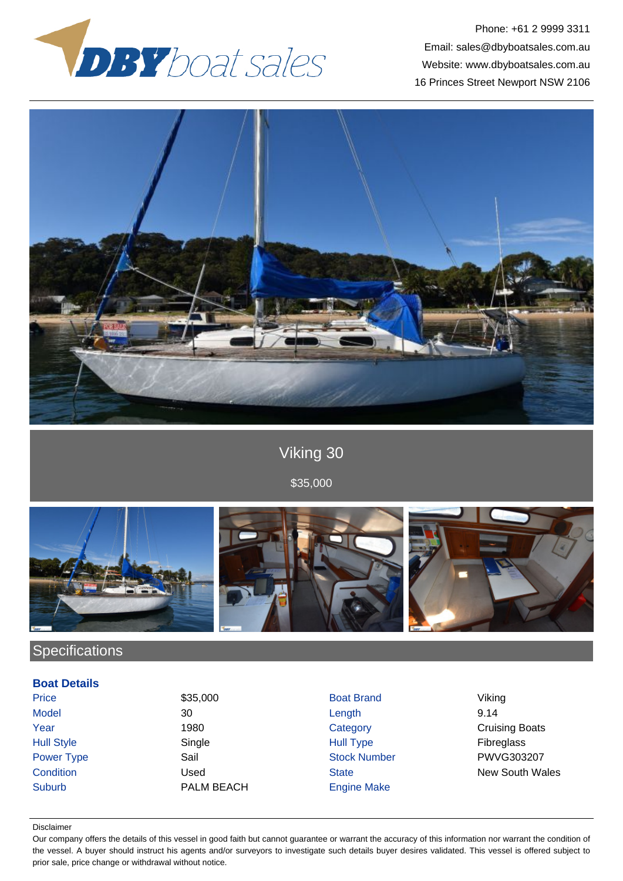

Phone: +61 2 9999 3311 Email: sales@dbyboatsales.com.au Website: www.dbyboatsales.com.au 16 Princes Street Newport NSW 2106



# Viking 30

\$35,000



# **Specifications**

### **Boat Details**

Price \$35,000 Boat Brand Viking Model 30 Length 9.14 Hull Style Single Hull Type Fibreglass Power Type Sail Sail Stock Number PWVG303207 Suburb PALM BEACH Engine Make

**The Vear** Team of the 1980 Category Category Cruising Boats **Condition Condition** Used Used State State New South Wales

#### Disclaimer

Our company offers the details of this vessel in good faith but cannot guarantee or warrant the accuracy of this information nor warrant the condition of the vessel. A buyer should instruct his agents and/or surveyors to investigate such details buyer desires validated. This vessel is offered subject to prior sale, price change or withdrawal without notice.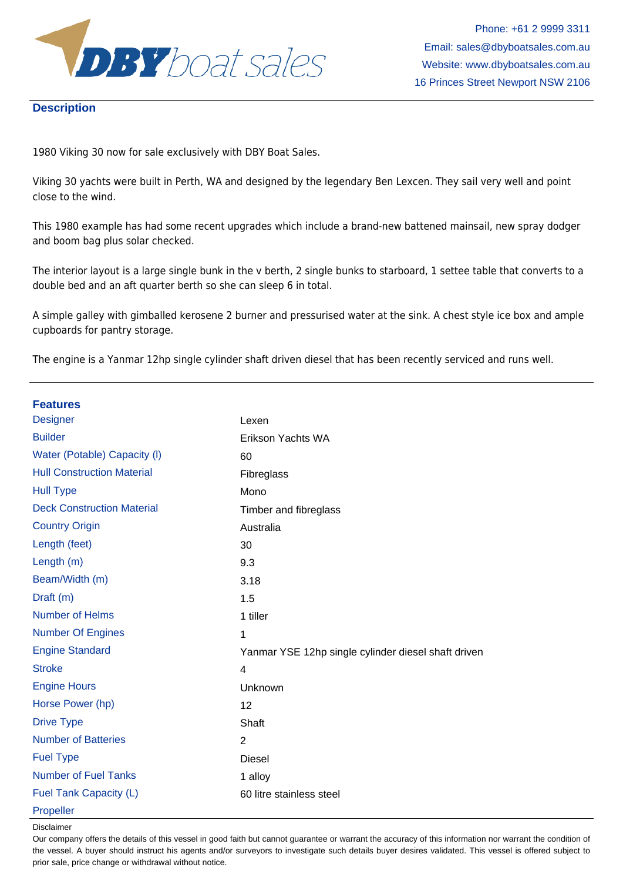

### **Description**

1980 Viking 30 now for sale exclusively with DBY Boat Sales.

Viking 30 yachts were built in Perth, WA and designed by the legendary Ben Lexcen. They sail very well and point close to the wind.

This 1980 example has had some recent upgrades which include a brand-new battened mainsail, new spray dodger and boom bag plus solar checked.

The interior layout is a large single bunk in the v berth, 2 single bunks to starboard, 1 settee table that converts to a double bed and an aft quarter berth so she can sleep 6 in total.

A simple galley with gimballed kerosene 2 burner and pressurised water at the sink. A chest style ice box and ample cupboards for pantry storage.

The engine is a Yanmar 12hp single cylinder shaft driven diesel that has been recently serviced and runs well.

| <b>Features</b>                   |                                                     |
|-----------------------------------|-----------------------------------------------------|
| <b>Designer</b>                   | Lexen                                               |
| <b>Builder</b>                    | Erikson Yachts WA                                   |
| Water (Potable) Capacity (I)      | 60                                                  |
| <b>Hull Construction Material</b> | Fibreglass                                          |
| <b>Hull Type</b>                  | Mono                                                |
| <b>Deck Construction Material</b> | Timber and fibreglass                               |
| <b>Country Origin</b>             | Australia                                           |
| Length (feet)                     | 30                                                  |
| Length (m)                        | 9.3                                                 |
| Beam/Width (m)                    | 3.18                                                |
| Draft (m)                         | 1.5                                                 |
| Number of Helms                   | 1 tiller                                            |
| <b>Number Of Engines</b>          | 1                                                   |
| <b>Engine Standard</b>            | Yanmar YSE 12hp single cylinder diesel shaft driven |
| <b>Stroke</b>                     | $\overline{4}$                                      |
| <b>Engine Hours</b>               | Unknown                                             |
| Horse Power (hp)                  | 12                                                  |
| <b>Drive Type</b>                 | Shaft                                               |
| <b>Number of Batteries</b>        | 2                                                   |
| <b>Fuel Type</b>                  | <b>Diesel</b>                                       |
| <b>Number of Fuel Tanks</b>       | 1 alloy                                             |
| Fuel Tank Capacity (L)            | 60 litre stainless steel                            |
| Propeller                         |                                                     |

Disclaimer

Our company offers the details of this vessel in good faith but cannot guarantee or warrant the accuracy of this information nor warrant the condition of the vessel. A buyer should instruct his agents and/or surveyors to investigate such details buyer desires validated. This vessel is offered subject to prior sale, price change or withdrawal without notice.